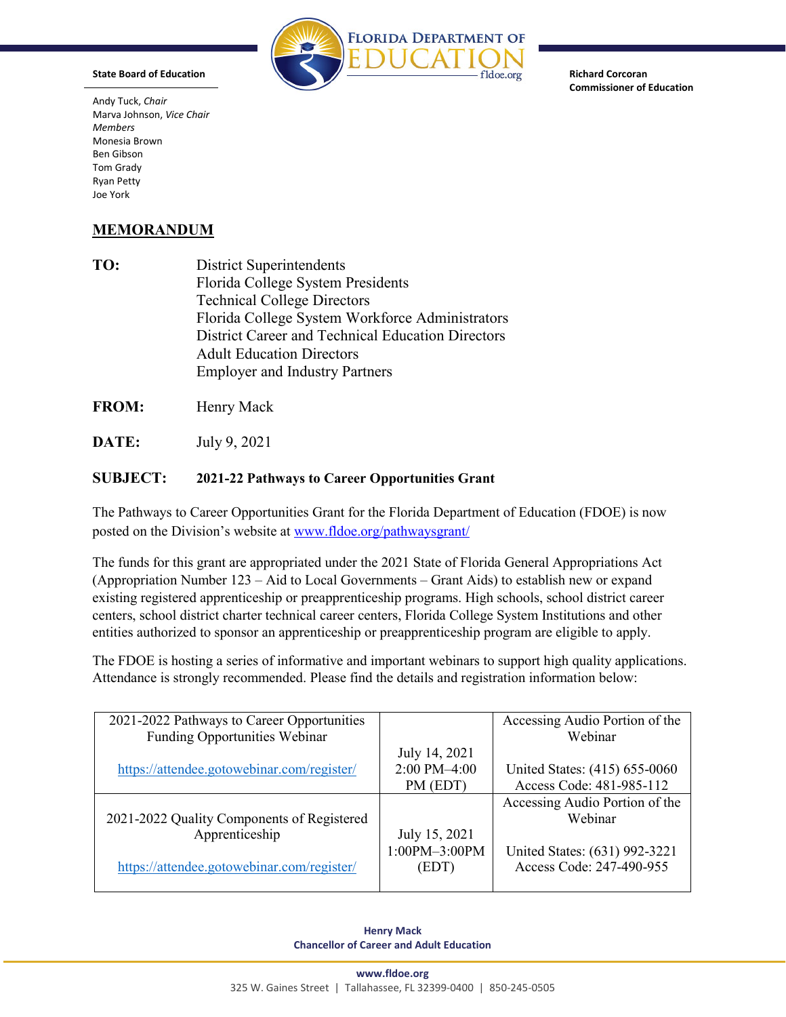

**Richard Corcoran Commissioner of Education** 

 $\text{Joe York}$  Marva Johnson, *Vice Chair*  Andy Tuck, *Chair Members*  Monesia Brown Ben Gibson Tom Grady Ryan Petty

**State Board of Education** 

## **MEMORANDUM**

 Florida College System Workforce Administrators **TO:** District Superintendents Florida College System Presidents Technical College Directors District Career and Technical Education Directors Adult Education Directors Employer and Industry Partners

**FROM:** Henry Mack

**DATE:** July 9, 2021

## **SUBJECT: 2021-22 Pathways to Career Opportunities Grant**

The Pathways to Career Opportunities Grant for the Florida Department of Education (FDOE) is now posted on the Division's website at [www.fldoe.org/pathwaysgrant/](http://www.fldoe.org/pathwaysgrant/) 

 The funds for this grant are appropriated under the 2021 State of Florida General Appropriations Act entities authorized to sponsor an apprenticeship or preapprenticeship program are eligible to apply. (Appropriation Number 123 – Aid to Local Governments – Grant Aids) to establish new or expand existing registered apprenticeship or preapprenticeship programs. High schools, school district career centers, school district charter technical career centers, Florida College System Institutions and other

The FDOE is hosting a series of informative and important webinars to support high quality applications. Attendance is strongly recommended. Please find the details and registration information below:

| 2021-2022 Pathways to Career Opportunities |                   | Accessing Audio Portion of the |
|--------------------------------------------|-------------------|--------------------------------|
| <b>Funding Opportunities Webinar</b>       |                   | Webinar                        |
|                                            | July 14, 2021     |                                |
| https://attendee.gotowebinar.com/register/ | 2:00 PM-4:00      | United States: (415) 655-0060  |
|                                            | PM (EDT)          | Access Code: 481-985-112       |
|                                            |                   | Accessing Audio Portion of the |
| 2021-2022 Quality Components of Registered |                   | Webinar                        |
| Apprenticeship                             | July 15, 2021     |                                |
|                                            | $1:00PM - 3:00PM$ | United States: (631) 992-3221  |
| https://attendee.gotowebinar.com/register/ | (EDT)             | Access Code: 247-490-955       |
|                                            |                   |                                |